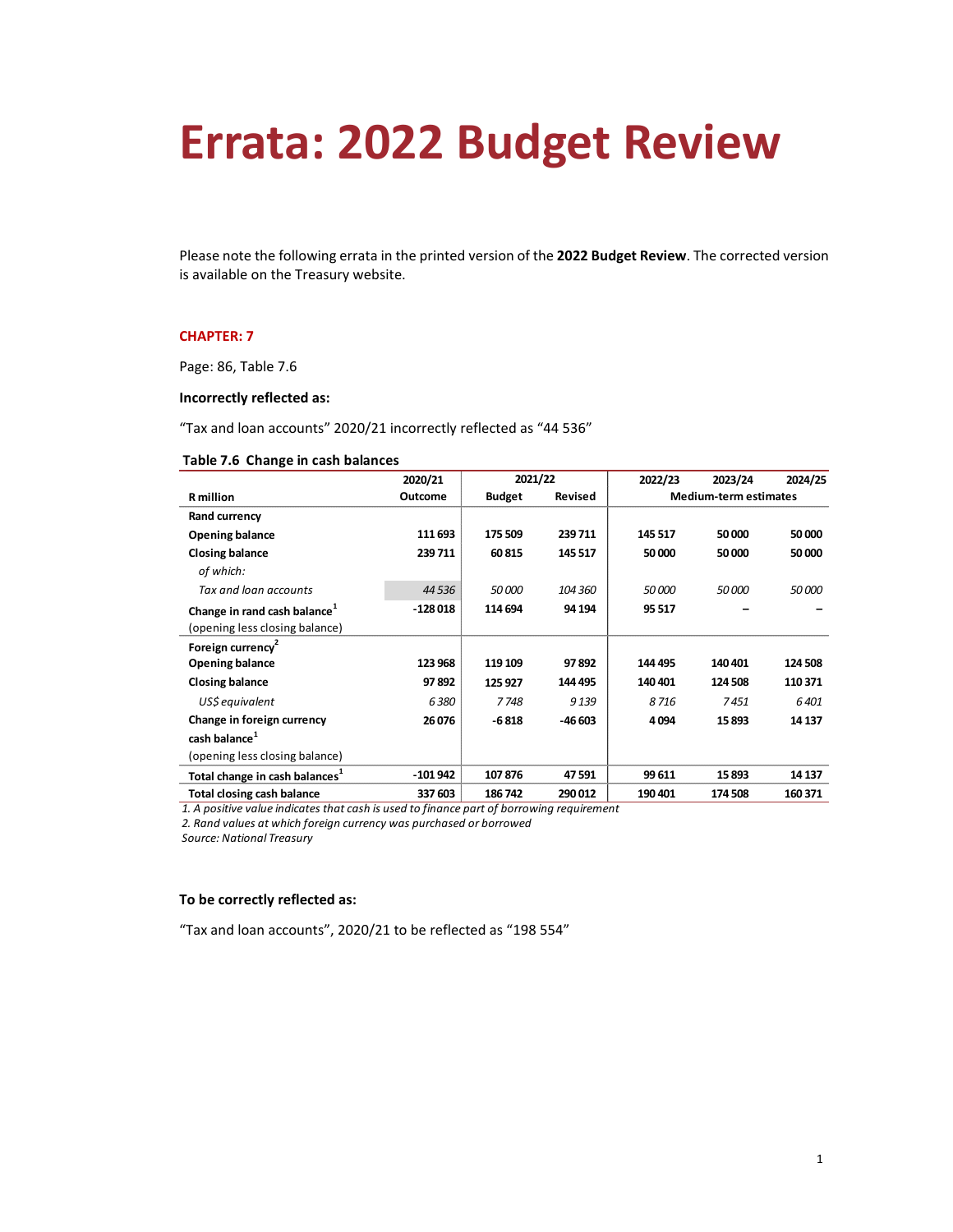# **Errata: 2022 Budget Review**

Please note the following errata in the printed version of the **2022 Budget Review**. The corrected version is available on the Treasury website.

## **CHAPTER: 7**

Page: 86, Table 7.6

# **Incorrectly reflected as:**

"Tax and loan accounts" 2020/21 incorrectly reflected as "44 536"

#### **Table 7.6 Change in cash balances**

|                                            | 2020/21   | 2021/22       |         | 2022/23                      | 2023/24 | 2024/25 |
|--------------------------------------------|-----------|---------------|---------|------------------------------|---------|---------|
| <b>R</b> million                           | Outcome   | <b>Budget</b> | Revised | <b>Medium-term estimates</b> |         |         |
| Rand currency                              |           |               |         |                              |         |         |
| <b>Opening balance</b>                     | 111 693   | 175 509       | 239 711 | 145 517                      | 50000   | 50 000  |
| <b>Closing balance</b>                     | 239 711   | 60815         | 145 517 | 50 000                       | 50000   | 50 000  |
| of which:                                  |           |               |         |                              |         |         |
| Tax and loan accounts                      | 44 5 36   | 50 000        | 104 360 | 50 000                       | 50000   | 50 000  |
| Change in rand cash balance <sup>1</sup>   | $-128018$ | 114 694       | 94 194  | 95 517                       |         |         |
| (opening less closing balance)             |           |               |         |                              |         |         |
| Foreign currency <sup>2</sup>              |           |               |         |                              |         |         |
| <b>Opening balance</b>                     | 123 968   | 119 109       | 97892   | 144 495                      | 140 401 | 124 508 |
| <b>Closing balance</b>                     | 97892     | 125 927       | 144 495 | 140 401                      | 124 508 | 110 371 |
| US\$ equivalent                            | 6380      | 7748          | 9 1 3 9 | 8716                         | 7451    | 6401    |
| Change in foreign currency                 | 26 076    | $-6818$       | -46 603 | 4094                         | 15893   | 14 137  |
| cash balance <sup>1</sup>                  |           |               |         |                              |         |         |
| (opening less closing balance)             |           |               |         |                              |         |         |
| Total change in cash balances <sup>1</sup> | $-101942$ | 107876        | 47 591  | 99 611                       | 15893   | 14 137  |
| Total closing cash balance                 | 337 603   | 186742        | 290 012 | 190 401                      | 174 508 | 160 371 |

*1. A positive value indicates that cash is used to finance part of borrowing requirement*

*2. Rand values at which foreign currency was purchased or borrowed*

*Source: National Treasury*

## **To be correctly reflected as:**

"Tax and loan accounts", 2020/21 to be reflected as "198 554"